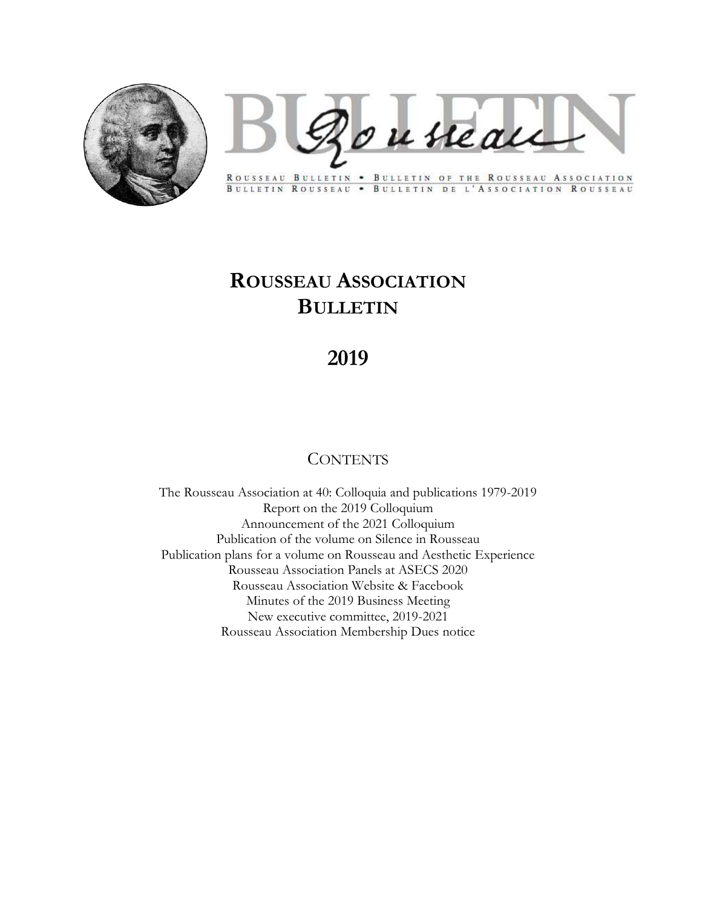

Bousseau

ROUSSEAU BULLETIN . BULLETIN OF THE ROUSSEAU ASSOCIATION BULLETIN ROUSSEAU . BULLETIN DE L'ASSOCIATION ROUSSEAU

# ROUSSEAU ASSOCIATION BULLETIN

## 2019

## **CONTENTS**

The Rousseau Association at 40: Colloquia and publications 1979-2019 Report on the 2019 Colloquium Announcement of the 2021 Colloquium Publication of the volume on Silence in Rousseau Publication plans for a volume on Rousseau and Aesthetic Experience Rousseau Association Panels at ASECS 2020 Rousseau Association Website & Facebook Minutes of the 2019 Business Meeting New executive committee, 2019-2021 Rousseau Association Membership Dues notice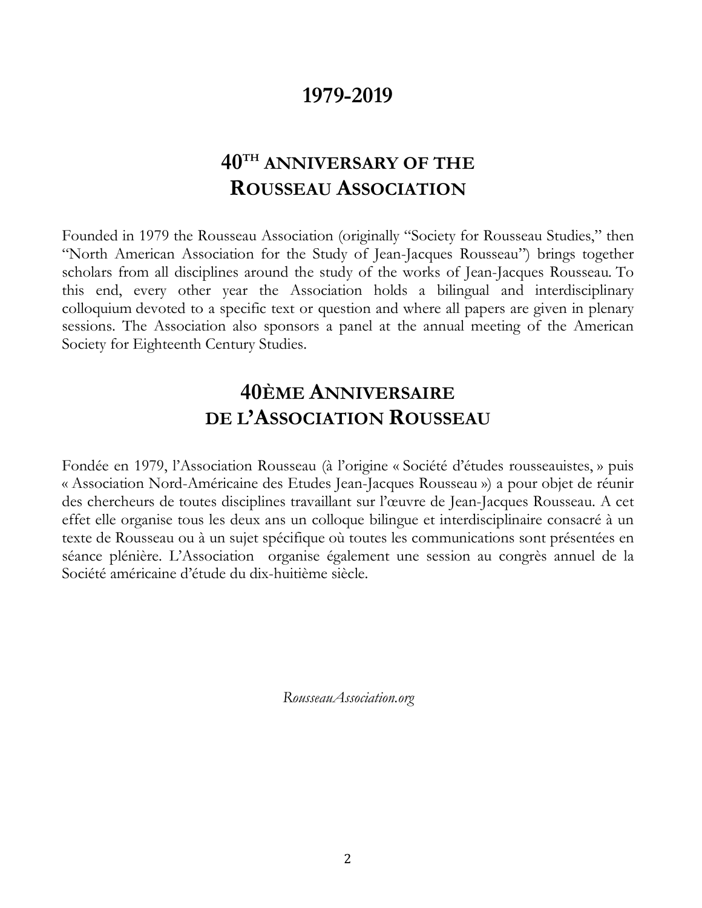## 1979-2019

## 40TH ANNIVERSARY OF THE ROUSSEAU ASSOCIATION

Founded in 1979 the Rousseau Association (originally "Society for Rousseau Studies," then "North American Association for the Study of Jean-Jacques Rousseau") brings together scholars from all disciplines around the study of the works of Jean-Jacques Rousseau. To this end, every other year the Association holds a bilingual and interdisciplinary colloquium devoted to a specific text or question and where all papers are given in plenary sessions. The Association also sponsors a panel at the annual meeting of the American Society for Eighteenth Century Studies.

## 40ÈME ANNIVERSAIRE DE L'ASSOCIATION ROUSSEAU

Fondée en 1979, l'Association Rousseau (à l'origine « Société d'études rousseauistes, » puis « Association Nord-Américaine des Etudes Jean-Jacques Rousseau ») a pour objet de réunir des chercheurs de toutes disciplines travaillant sur l'œuvre de Jean-Jacques Rousseau. A cet effet elle organise tous les deux ans un colloque bilingue et interdisciplinaire consacré à un texte de Rousseau ou à un sujet spécifique où toutes les communications sont présentées en séance plénière. L'Association organise également une session au congrès annuel de la Société américaine d'étude du dix-huitième siècle.

RousseauAssociation.org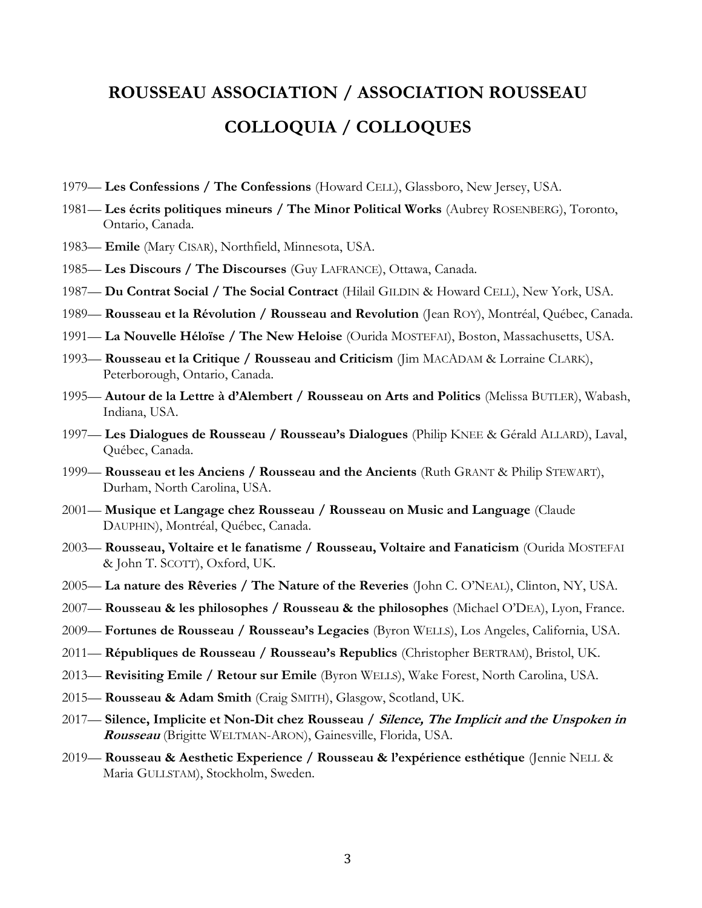# ROUSSEAU ASSOCIATION / ASSOCIATION ROUSSEAU COLLOQUIA / COLLOQUES

- 1979— Les Confessions / The Confessions (Howard CELL), Glassboro, New Jersey, USA.
- 1981— Les écrits politiques mineurs / The Minor Political Works (Aubrey ROSENBERG), Toronto, Ontario, Canada.
- 1983— Emile (Mary CISAR), Northfield, Minnesota, USA.
- 1985— Les Discours / The Discourses (Guy LAFRANCE), Ottawa, Canada.
- 1987— Du Contrat Social / The Social Contract (Hilail GILDIN & Howard CELL), New York, USA.
- 1989— Rousseau et la Révolution / Rousseau and Revolution (Jean ROY), Montréal, Québec, Canada.
- 1991— La Nouvelle Héloïse / The New Heloise (Ourida MOSTEFAI), Boston, Massachusetts, USA.
- 1993— Rousseau et la Critique / Rousseau and Criticism (Jim MACADAM & Lorraine CLARK), Peterborough, Ontario, Canada.
- 1995— Autour de la Lettre à d'Alembert / Rousseau on Arts and Politics (Melissa BUTLER), Wabash, Indiana, USA.
- 1997— Les Dialogues de Rousseau / Rousseau's Dialogues (Philip KNEE & Gérald ALLARD), Laval, Québec, Canada.
- 1999— Rousseau et les Anciens / Rousseau and the Ancients (Ruth GRANT & Philip STEWART), Durham, North Carolina, USA.
- 2001— Musique et Langage chez Rousseau / Rousseau on Music and Language (Claude DAUPHIN), Montréal, Québec, Canada.
- 2003— Rousseau, Voltaire et le fanatisme / Rousseau, Voltaire and Fanaticism (Ourida MOSTEFAI & John T. SCOTT), Oxford, UK.
- 2005— La nature des Rêveries / The Nature of the Reveries (John C. O'NEAL), Clinton, NY, USA.
- 2007— Rousseau & les philosophes / Rousseau & the philosophes (Michael O'DEA), Lyon, France.
- 2009— Fortunes de Rousseau / Rousseau's Legacies (Byron WELLS), Los Angeles, California, USA.
- 2011— Républiques de Rousseau / Rousseau's Republics (Christopher BERTRAM), Bristol, UK.
- 2013— Revisiting Emile / Retour sur Emile (Byron WELLS), Wake Forest, North Carolina, USA.
- 2015— Rousseau & Adam Smith (Craig SMITH), Glasgow, Scotland, UK.
- 2017— Silence, Implicite et Non-Dit chez Rousseau / Silence, The Implicit and the Unspoken in Rousseau (Brigitte WELTMAN-ARON), Gainesville, Florida, USA.
- 2019— Rousseau & Aesthetic Experience / Rousseau & l'expérience esthétique (Jennie NELL & Maria GULLSTAM), Stockholm, Sweden.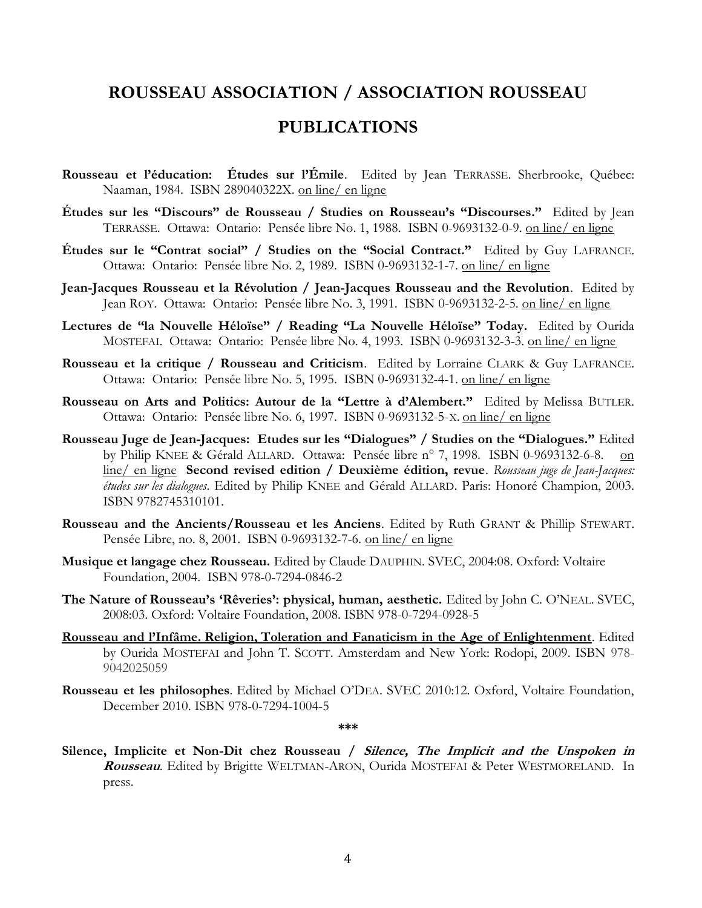### ROUSSEAU ASSOCIATION / ASSOCIATION ROUSSEAU

### PUBLICATIONS

- Rousseau et l'éducation: Études sur l'Émile. Edited by Jean TERRASSE. Sherbrooke, Québec: Naaman, 1984. ISBN 289040322X. on line/ en ligne
- Études sur les "Discours" de Rousseau / Studies on Rousseau's "Discourses." Edited by Jean TERRASSE. Ottawa: Ontario: Pensée libre No. 1, 1988. ISBN 0-9693132-0-9. on line/ en ligne
- Études sur le "Contrat social" / Studies on the "Social Contract." Edited by Guy LAFRANCE. Ottawa: Ontario: Pensée libre No. 2, 1989. ISBN 0-9693132-1-7. on line/ en ligne
- Jean-Jacques Rousseau et la Révolution / Jean-Jacques Rousseau and the Revolution. Edited by Jean ROY. Ottawa: Ontario: Pensée libre No. 3, 1991. ISBN 0-9693132-2-5. on line/ en ligne
- Lectures de "la Nouvelle Héloïse" / Reading "La Nouvelle Héloïse" Today. Edited by Ourida MOSTEFAI. Ottawa: Ontario: Pensée libre No. 4, 1993. ISBN 0-9693132-3-3. on line/ en ligne
- Rousseau et la critique / Rousseau and Criticism. Edited by Lorraine CLARK & Guy LAFRANCE. Ottawa: Ontario: Pensée libre No. 5, 1995. ISBN 0-9693132-4-1. on line/ en ligne
- Rousseau on Arts and Politics: Autour de la "Lettre à d'Alembert." Edited by Melissa BUTLER. Ottawa: Ontario: Pensée libre No. 6, 1997. ISBN 0-9693132-5-X. on line/ en ligne
- Rousseau Juge de Jean-Jacques: Etudes sur les "Dialogues" / Studies on the "Dialogues." Edited by Philip KNEE & Gérald ALLARD. Ottawa: Pensée libre n° 7, 1998. ISBN 0-9693132-6-8. on line/ en ligne Second revised edition / Deuxième édition, revue. Rousseau juge de Jean-Jacques: études sur les dialogues. Edited by Philip KNEE and Gérald ALLARD. Paris: Honoré Champion, 2003. ISBN 9782745310101.
- Rousseau and the Ancients/Rousseau et les Anciens. Edited by Ruth GRANT & Phillip STEWART. Pensée Libre, no. 8, 2001. ISBN 0-9693132-7-6. on line/ en ligne
- Musique et langage chez Rousseau. Edited by Claude DAUPHIN. SVEC, 2004:08. Oxford: Voltaire Foundation, 2004. ISBN 978-0-7294-0846-2
- The Nature of Rousseau's 'Rêveries': physical, human, aesthetic. Edited by John C. O'NEAL. SVEC, 2008:03. Oxford: Voltaire Foundation, 2008. ISBN 978-0-7294-0928-5
- Rousseau and l'Infâme. Religion, Toleration and Fanaticism in the Age of Enlightenment. Edited by Ourida MOSTEFAI and John T. SCOTT. Amsterdam and New York: Rodopi, 2009. ISBN 978- 9042025059
- Rousseau et les philosophes. Edited by Michael O'DEA. SVEC 2010:12. Oxford, Voltaire Foundation, December 2010. ISBN 978-0-7294-1004-5

\*\*\*

Silence, Implicite et Non-Dit chez Rousseau / Silence, The Implicit and the Unspoken in Rousseau. Edited by Brigitte WELTMAN-ARON, Ourida MOSTEFAI & Peter WESTMORELAND. In press.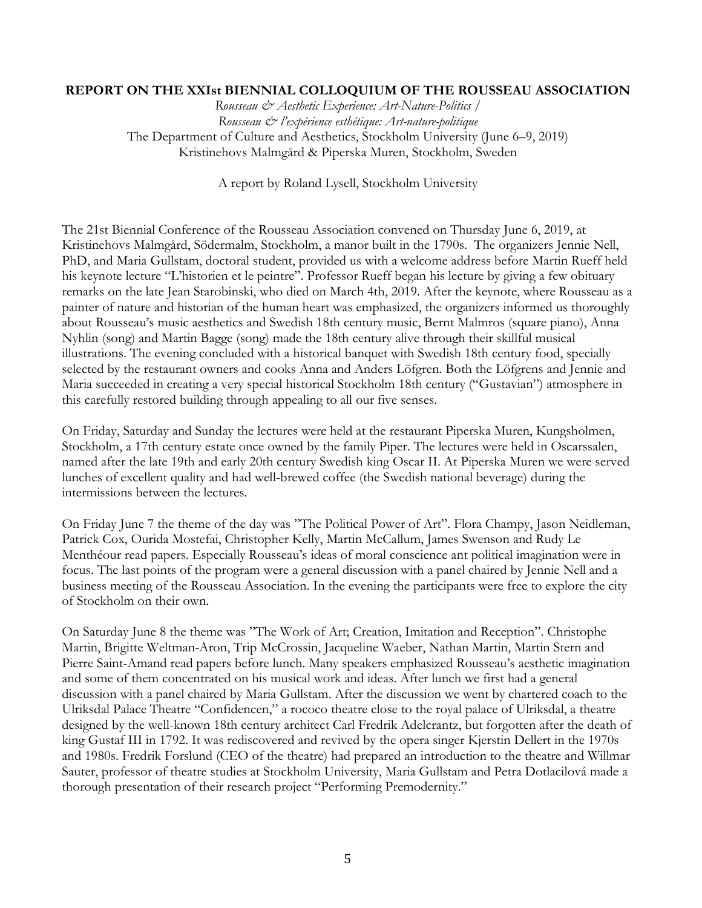#### REPORT ON THE XXIst BIENNIAL COLLOQUIUM OF THE ROUSSEAU ASSOCIATION

Rousseau & Aesthetic Experience: Art-Nature-Politics / Rousseau & l'expérience esthétique: Art-nature-politique The Department of Culture and Aesthetics, Stockholm University (June 6–9, 2019) Kristinehovs Malmgård & Piperska Muren, Stockholm, Sweden

A report by Roland Lysell, Stockholm University

The 21st Biennial Conference of the Rousseau Association convened on Thursday June 6, 2019, at Kristinehovs Malmgård, Södermalm, Stockholm, a manor built in the 1790s. The organizers Jennie Nell, PhD, and Maria Gullstam, doctoral student, provided us with a welcome address before Martin Rueff held his keynote lecture "L'historien et le peintre". Professor Rueff began his lecture by giving a few obituary remarks on the late Jean Starobinski, who died on March 4th, 2019. After the keynote, where Rousseau as a painter of nature and historian of the human heart was emphasized, the organizers informed us thoroughly about Rousseau's music aesthetics and Swedish 18th century music, Bernt Malmros (square piano), Anna Nyhlin (song) and Martin Bagge (song) made the 18th century alive through their skillful musical illustrations. The evening concluded with a historical banquet with Swedish 18th century food, specially selected by the restaurant owners and cooks Anna and Anders Löfgren. Both the Löfgrens and Jennie and Maria succeeded in creating a very special historical Stockholm 18th century ("Gustavian") atmosphere in this carefully restored building through appealing to all our five senses.

On Friday, Saturday and Sunday the lectures were held at the restaurant Piperska Muren, Kungsholmen, Stockholm, a 17th century estate once owned by the family Piper. The lectures were held in Oscarssalen, named after the late 19th and early 20th century Swedish king Oscar II. At Piperska Muren we were served lunches of excellent quality and had well-brewed coffee (the Swedish national beverage) during the intermissions between the lectures.

On Friday June 7 the theme of the day was "The Political Power of Art". Flora Champy, Jason Neidleman, Patrick Cox, Ourida Mostefai, Christopher Kelly, Martin McCallum, James Swenson and Rudy Le Menthéour read papers. Especially Rousseau's ideas of moral conscience ant political imagination were in focus. The last points of the program were a general discussion with a panel chaired by Jennie Nell and a business meeting of the Rousseau Association. In the evening the participants were free to explore the city of Stockholm on their own.

On Saturday June 8 the theme was "The Work of Art; Creation, Imitation and Reception". Christophe Martin, Brigitte Weltman-Aron, Trip McCrossin, Jacqueline Waeber, Nathan Martin, Martin Stern and Pierre Saint-Amand read papers before lunch. Many speakers emphasized Rousseau's aesthetic imagination and some of them concentrated on his musical work and ideas. After lunch we first had a general discussion with a panel chaired by Maria Gullstam. After the discussion we went by chartered coach to the Ulriksdal Palace Theatre "Confidencen," a rococo theatre close to the royal palace of Ulriksdal, a theatre designed by the well-known 18th century architect Carl Fredrik Adelcrantz, but forgotten after the death of king Gustaf III in 1792. It was rediscovered and revived by the opera singer Kjerstin Dellert in the 1970s and 1980s. Fredrik Forslund (CEO of the theatre) had prepared an introduction to the theatre and Willmar Sauter, professor of theatre studies at Stockholm University, Maria Gullstam and Petra Dotlacilová made a thorough presentation of their research project "Performing Premodernity."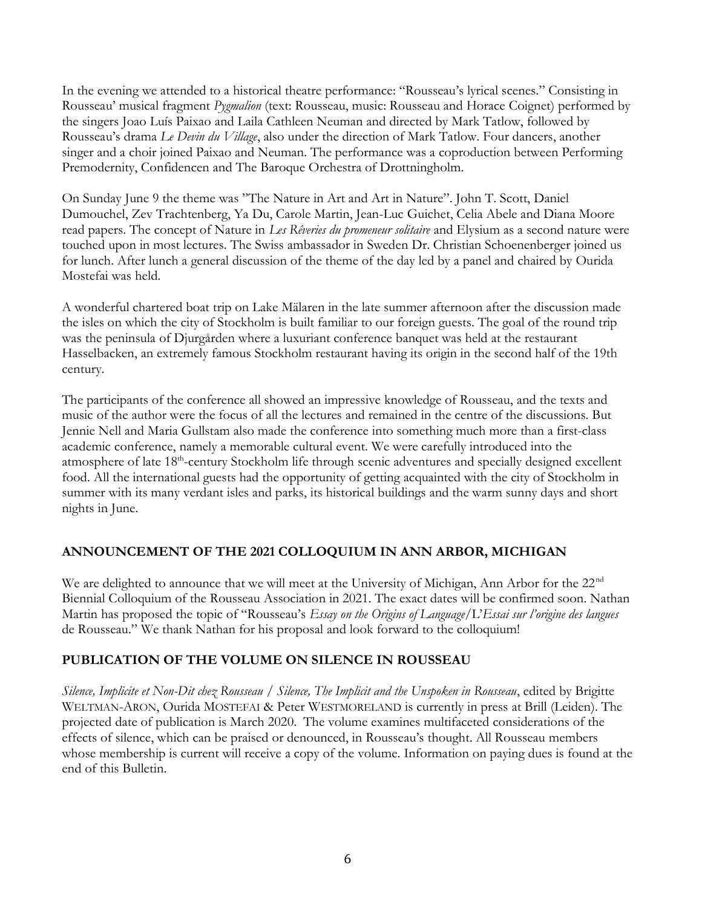In the evening we attended to a historical theatre performance: "Rousseau's lyrical scenes." Consisting in Rousseau' musical fragment *Pygmalion* (text: Rousseau, music: Rousseau and Horace Coignet) performed by the singers Joao Luís Paixao and Laila Cathleen Neuman and directed by Mark Tatlow, followed by Rousseau's drama Le Devin du Village, also under the direction of Mark Tatlow. Four dancers, another singer and a choir joined Paixao and Neuman. The performance was a coproduction between Performing Premodernity, Confidencen and The Baroque Orchestra of Drottningholm.

On Sunday June 9 the theme was "The Nature in Art and Art in Nature". John T. Scott, Daniel Dumouchel, Zev Trachtenberg, Ya Du, Carole Martin, Jean-Luc Guichet, Celia Abele and Diana Moore read papers. The concept of Nature in Les Rêveries du promeneur solitaire and Elysium as a second nature were touched upon in most lectures. The Swiss ambassador in Sweden Dr. Christian Schoenenberger joined us for lunch. After lunch a general discussion of the theme of the day led by a panel and chaired by Ourida Mostefai was held.

A wonderful chartered boat trip on Lake Mälaren in the late summer afternoon after the discussion made the isles on which the city of Stockholm is built familiar to our foreign guests. The goal of the round trip was the peninsula of Djurgården where a luxuriant conference banquet was held at the restaurant Hasselbacken, an extremely famous Stockholm restaurant having its origin in the second half of the 19th century.

The participants of the conference all showed an impressive knowledge of Rousseau, and the texts and music of the author were the focus of all the lectures and remained in the centre of the discussions. But Jennie Nell and Maria Gullstam also made the conference into something much more than a first-class academic conference, namely a memorable cultural event. We were carefully introduced into the atmosphere of late 18<sup>th</sup>-century Stockholm life through scenic adventures and specially designed excellent food. All the international guests had the opportunity of getting acquainted with the city of Stockholm in summer with its many verdant isles and parks, its historical buildings and the warm sunny days and short nights in June.

#### ANNOUNCEMENT OF THE 2021 COLLOQUIUM IN ANN ARBOR, MICHIGAN

We are delighted to announce that we will meet at the University of Michigan, Ann Arbor for the 22<sup>nd</sup> Biennial Colloquium of the Rousseau Association in 2021. The exact dates will be confirmed soon. Nathan Martin has proposed the topic of "Rousseau's Essay on the Origins of Language/L'Essai sur l'origine des langues de Rousseau." We thank Nathan for his proposal and look forward to the colloquium!

#### PUBLICATION OF THE VOLUME ON SILENCE IN ROUSSEAU

Silence, Implicite et Non-Dit chez Rousseau / Silence, The Implicit and the Unspoken in Rousseau, edited by Brigitte WELTMAN-ARON, Ourida MOSTEFAI & Peter WESTMORELAND is currently in press at Brill (Leiden). The projected date of publication is March 2020. The volume examines multifaceted considerations of the effects of silence, which can be praised or denounced, in Rousseau's thought. All Rousseau members whose membership is current will receive a copy of the volume. Information on paying dues is found at the end of this Bulletin.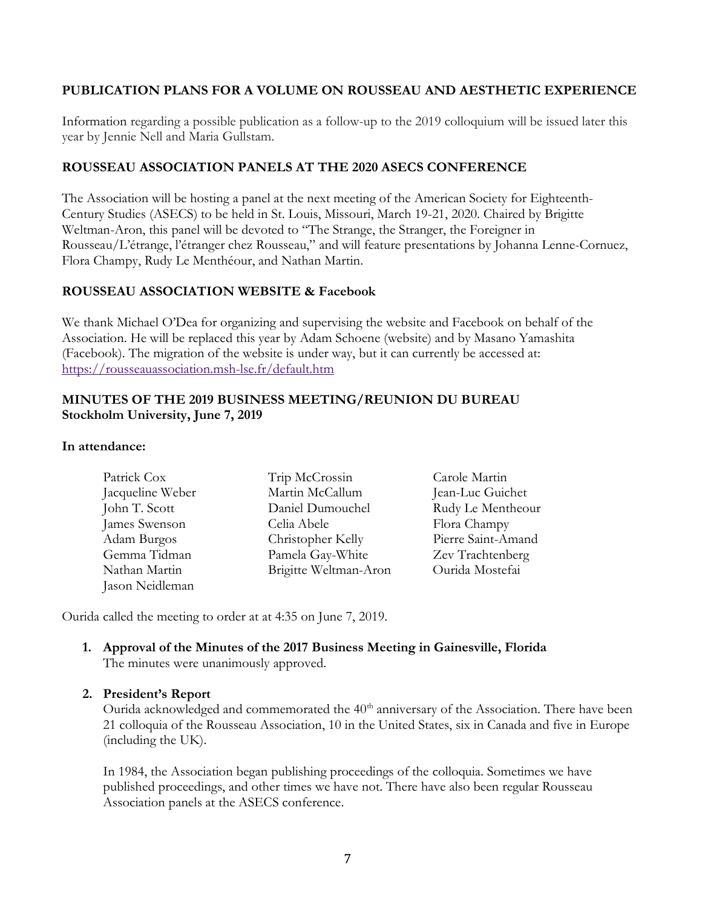#### PUBLICATION PLANS FOR A VOLUME ON ROUSSEAU AND AESTHETIC EXPERIENCE

Information regarding a possible publication as a follow-up to the 2019 colloquium will be issued later this year by Jennie Nell and Maria Gullstam.

#### ROUSSEAU ASSOCIATION PANELS AT THE 2020 ASECS CONFERENCE

The Association will be hosting a panel at the next meeting of the American Society for Eighteenth-Century Studies (ASECS) to be held in St. Louis, Missouri, March 19-21, 2020. Chaired by Brigitte Weltman-Aron, this panel will be devoted to "The Strange, the Stranger, the Foreigner in Rousseau/L'étrange, l'étranger chez Rousseau," and will feature presentations by Johanna Lenne-Cornuez, Flora Champy, Rudy Le Menthéour, and Nathan Martin.

#### ROUSSEAU ASSOCIATION WEBSITE & Facebook

We thank Michael O'Dea for organizing and supervising the website and Facebook on behalf of the Association. He will be replaced this year by Adam Schoene (website) and by Masano Yamashita (Facebook). The migration of the website is under way, but it can currently be accessed at: https://rousseauassociation.msh-lse.fr/default.htm

#### MINUTES OF THE 2019 BUSINESS MEETING/REUNION DU BUREAU Stockholm University, June 7, 2019

#### In attendance:

| Patrick Cox      | Trip McCrossin        | Carole Martin      |
|------------------|-----------------------|--------------------|
| Jacqueline Weber | Martin McCallum       | Jean-Luc Guichet   |
| John T. Scott    | Daniel Dumouchel      | Rudy Le Mentheour  |
| James Swenson    | Celia Abele           | Flora Champy       |
| Adam Burgos      | Christopher Kelly     | Pierre Saint-Amand |
| Gemma Tidman     | Pamela Gay-White      | Zev Trachtenberg   |
| Nathan Martin    | Brigitte Weltman-Aron | Ourida Mostefai    |
| Jason Neidleman  |                       |                    |

Ourida called the meeting to order at at 4:35 on June 7, 2019.

#### 1. Approval of the Minutes of the 2017 Business Meeting in Gainesville, Florida The minutes were unanimously approved.

#### 2. President's Report

Ourida acknowledged and commemorated the 40<sup>th</sup> anniversary of the Association. There have been 21 colloquia of the Rousseau Association, 10 in the United States, six in Canada and five in Europe (including the UK).

In 1984, the Association began publishing proceedings of the colloquia. Sometimes we have published proceedings, and other times we have not. There have also been regular Rousseau Association panels at the ASECS conference.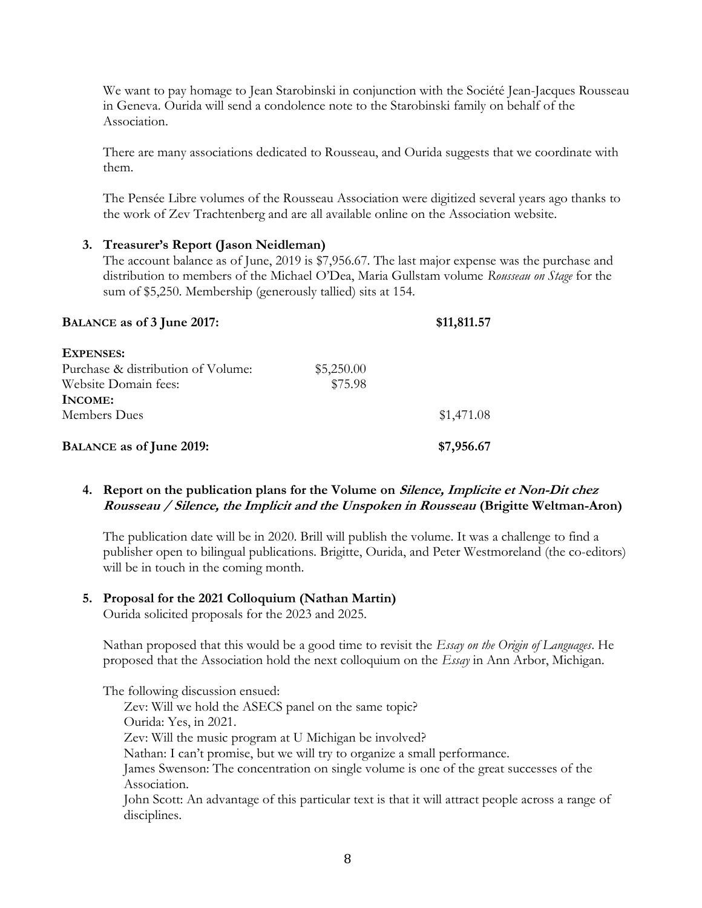We want to pay homage to Jean Starobinski in conjunction with the Société Jean-Jacques Rousseau in Geneva. Ourida will send a condolence note to the Starobinski family on behalf of the Association.

There are many associations dedicated to Rousseau, and Ourida suggests that we coordinate with them.

The Pensée Libre volumes of the Rousseau Association were digitized several years ago thanks to the work of Zev Trachtenberg and are all available online on the Association website.

#### 3. Treasurer's Report (Jason Neidleman)

The account balance as of June, 2019 is \$7,956.67. The last major expense was the purchase and distribution to members of the Michael O'Dea, Maria Gullstam volume Rousseau on Stage for the sum of \$5,250. Membership (generously tallied) sits at 154.

| BALANCE as of 3 June 2017:         | \$11,811.57 |            |
|------------------------------------|-------------|------------|
| <b>EXPENSES:</b>                   |             |            |
| Purchase & distribution of Volume: | \$5,250.00  |            |
| Website Domain fees:               | \$75.98     |            |
| INCOME:                            |             |            |
| Members Dues                       |             | \$1,471.08 |
| <b>BALANCE as of June 2019:</b>    |             | \$7,956.67 |

#### 4. Report on the publication plans for the Volume on *Silence, Implicite et Non-Dit chez* Rousseau / Silence, the Implicit and the Unspoken in Rousseau (Brigitte Weltman-Aron)

The publication date will be in 2020. Brill will publish the volume. It was a challenge to find a publisher open to bilingual publications. Brigitte, Ourida, and Peter Westmoreland (the co-editors) will be in touch in the coming month.

#### 5. Proposal for the 2021 Colloquium (Nathan Martin)

Ourida solicited proposals for the 2023 and 2025.

Nathan proposed that this would be a good time to revisit the *Essay on the Origin of Languages*. He proposed that the Association hold the next colloquium on the Essay in Ann Arbor, Michigan.

The following discussion ensued: Zev: Will we hold the ASECS panel on the same topic? Ourida: Yes, in 2021. Zev: Will the music program at U Michigan be involved? Nathan: I can't promise, but we will try to organize a small performance. James Swenson: The concentration on single volume is one of the great successes of the Association. John Scott: An advantage of this particular text is that it will attract people across a range of disciplines.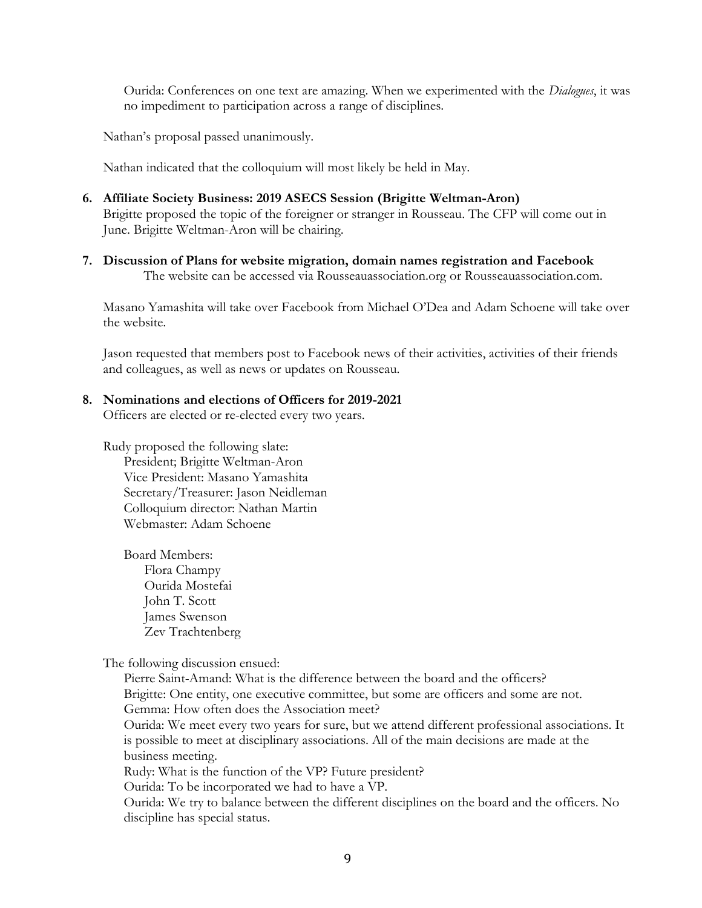Ourida: Conferences on one text are amazing. When we experimented with the Dialogues, it was no impediment to participation across a range of disciplines.

Nathan's proposal passed unanimously.

Nathan indicated that the colloquium will most likely be held in May.

- 6. Affiliate Society Business: 2019 ASECS Session (Brigitte Weltman-Aron) Brigitte proposed the topic of the foreigner or stranger in Rousseau. The CFP will come out in June. Brigitte Weltman-Aron will be chairing.
- 7. Discussion of Plans for website migration, domain names registration and Facebook The website can be accessed via Rousseauassociation.org or Rousseauassociation.com.

Masano Yamashita will take over Facebook from Michael O'Dea and Adam Schoene will take over the website.

Jason requested that members post to Facebook news of their activities, activities of their friends and colleagues, as well as news or updates on Rousseau.

#### 8. Nominations and elections of Officers for 2019-2021

Officers are elected or re-elected every two years.

Rudy proposed the following slate: President; Brigitte Weltman-Aron Vice President: Masano Yamashita Secretary/Treasurer: Jason Neidleman Colloquium director: Nathan Martin Webmaster: Adam Schoene

Board Members: Flora Champy Ourida Mostefai John T. Scott James Swenson Zev Trachtenberg

The following discussion ensued:

Pierre Saint-Amand: What is the difference between the board and the officers? Brigitte: One entity, one executive committee, but some are officers and some are not. Gemma: How often does the Association meet? Ourida: We meet every two years for sure, but we attend different professional associations. It is possible to meet at disciplinary associations. All of the main decisions are made at the business meeting. Rudy: What is the function of the VP? Future president? Ourida: To be incorporated we had to have a VP. Ourida: We try to balance between the different disciplines on the board and the officers. No discipline has special status.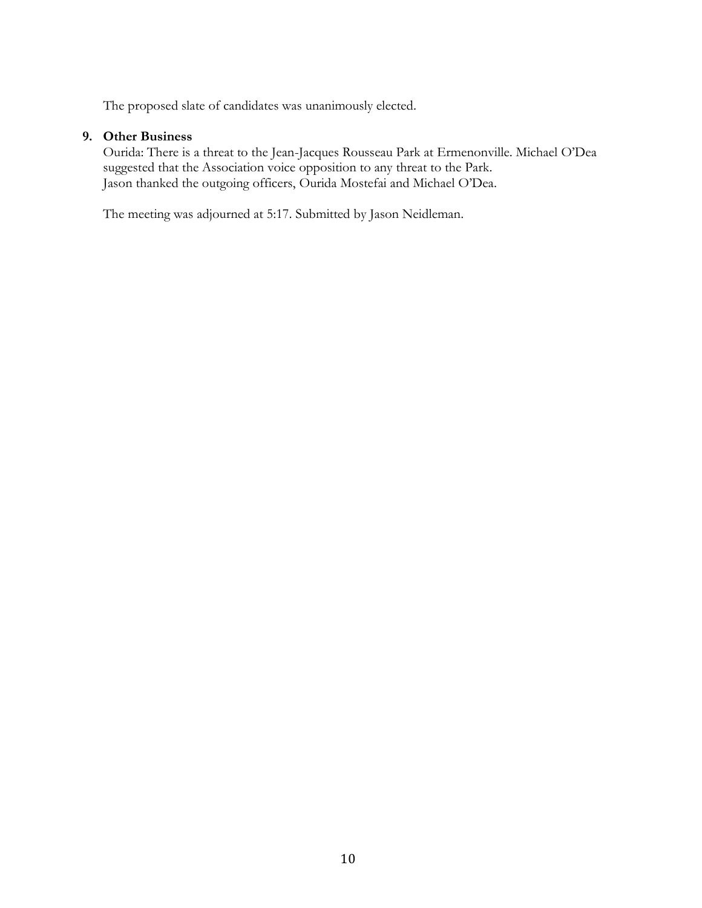The proposed slate of candidates was unanimously elected.

#### 9. Other Business

Ourida: There is a threat to the Jean-Jacques Rousseau Park at Ermenonville. Michael O'Dea suggested that the Association voice opposition to any threat to the Park. Jason thanked the outgoing officers, Ourida Mostefai and Michael O'Dea.

The meeting was adjourned at 5:17. Submitted by Jason Neidleman.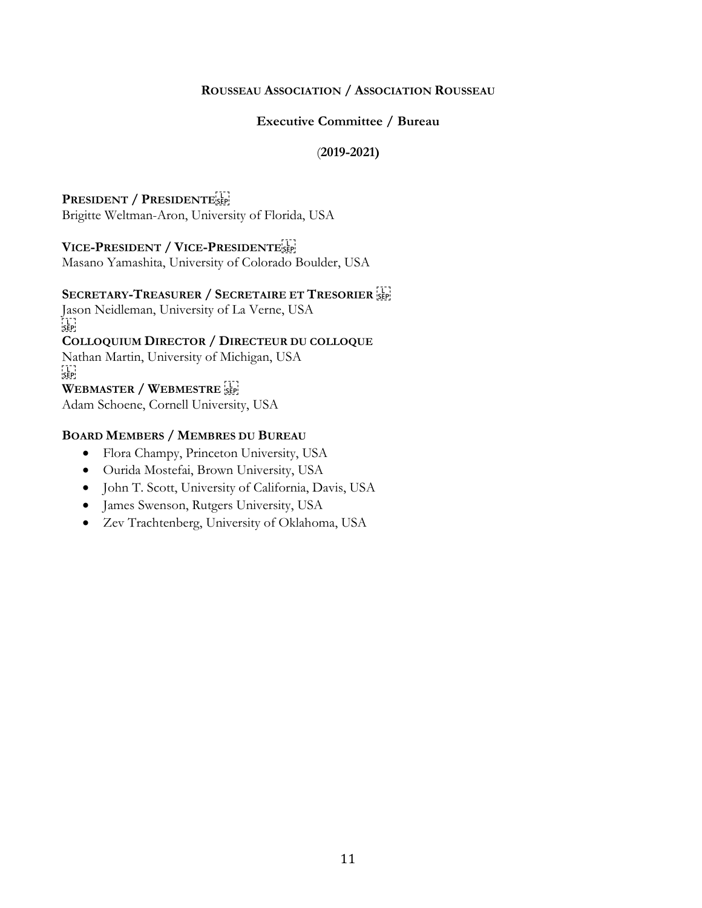#### ROUSSEAU ASSOCIATION / ASSOCIATION ROUSSEAU

#### Executive Committee / Bureau

#### (2019-2021)

#### PRESIDENT / PRESIDENTESEP Brigitte Weltman-Aron, University of Florida, USA

#### VICE-PRESIDENT / VICE-PRESIDENTE

Masano Yamashita, University of Colorado Boulder, USA

#### SECRETARY-TREASURER / SECRETAIRE ET TRESORIER

Jason Neidleman, University of La Verne, USA FTER<br>!SEP! COLLOQUIUM DIRECTOR / DIRECTEUR DU COLLOQUE Nathan Martin, University of Michigan, USA  $SEP$ WEBMASTER / WEBMESTRE Adam Schoene, Cornell University, USA

#### BOARD MEMBERS / MEMBRES DU BUREAU

- Flora Champy, Princeton University, USA
- Ourida Mostefai, Brown University, USA
- $\bullet$  John T. Scott, University of California, Davis, USA
- James Swenson, Rutgers University, USA
- Zev Trachtenberg, University of Oklahoma, USA